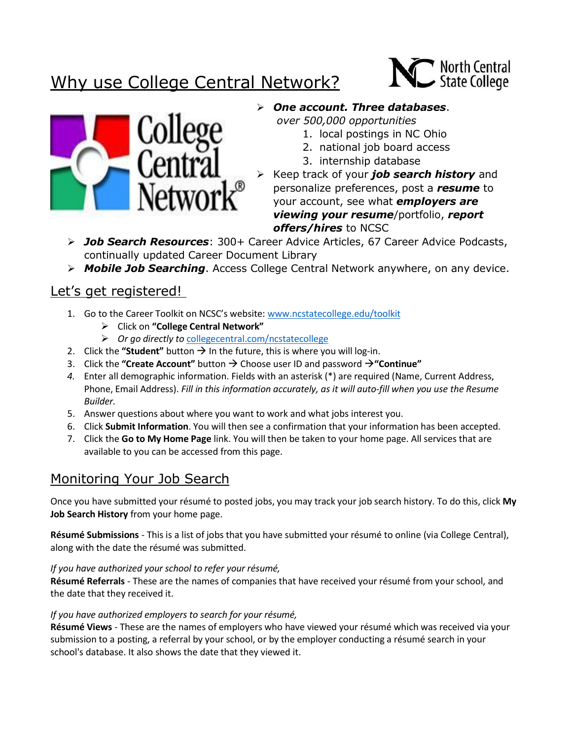# Why use College Central Network?





### *One account. Three databases*.

*over 500,000 opportunities*

- 1. local postings in NC Ohio
- 2. national job board access
- 3. internship database
- Keep track of your *job search history* and personalize preferences, post a *resume* to your account, see what *employers are viewing your resume*/portfolio, *report offers/hires* to NCSC
- *Job Search Resources*: 300+ Career Advice Articles, 67 Career Advice Podcasts, continually updated Career Document Library
- *Mobile Job Searching*. Access College Central Network anywhere, on any device.

## Let's get registered!

- 1. Go to the Career Toolkit on NCSC's website: [www.ncstatecollege.edu/toolkit](http://www.ncstatecollege.edu/toolkit)
	- Click on **"College Central Network"**
	- *Or go directly to* [collegecentral.com/ncstatecollege](http://www.collegecentral.com/ncstatecollege-osumansfield)
- 2. Click the "**Student**" button  $\rightarrow$  In the future, this is where you will log-in.
- 3. Click the "Create Account" button → Choose user ID and password → "Continue"
- *4.* Enter all demographic information. Fields with an asterisk (\*) are required (Name, Current Address, Phone, Email Address). *Fill in this information accurately, as it will auto-fill when you use the Resume Builder.*
- 5. Answer questions about where you want to work and what jobs interest you.
- 6. Click **Submit Information**. You will then see a confirmation that your information has been accepted.
- 7. Click the **Go to My Home Page** link. You will then be taken to your home page. All services that are available to you can be accessed from this page.

# Monitoring Your Job Search

Once you have submitted your résumé to posted jobs, you may track your job search history. To do this, click **My Job Search History** from your home page.

**Résumé Submissions** - This is a list of jobs that you have submitted your résumé to online (via College Central), along with the date the résumé was submitted.

#### *If you have authorized your school to refer your résumé,*

**Résumé Referrals** - These are the names of companies that have received your résumé from your school, and the date that they received it.

#### *If you have authorized employers to search for your résumé,*

**Résumé Views** - These are the names of employers who have viewed your résumé which was received via your submission to a posting, a referral by your school, or by the employer conducting a résumé search in your school's database. It also shows the date that they viewed it.